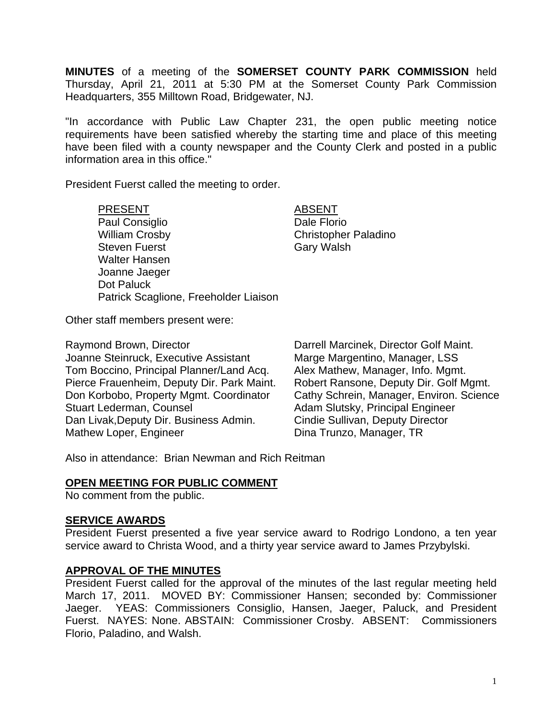**MINUTES** of a meeting of the **SOMERSET COUNTY PARK COMMISSION** held Thursday, April 21, 2011 at 5:30 PM at the Somerset County Park Commission Headquarters, 355 Milltown Road, Bridgewater, NJ.

"In accordance with Public Law Chapter 231, the open public meeting notice requirements have been satisfied whereby the starting time and place of this meeting have been filed with a county newspaper and the County Clerk and posted in a public information area in this office."

President Fuerst called the meeting to order.

## PRESENT ABSENT Paul Consiglio **Dale Florio** William Crosby **Christopher Paladino** Steven Fuerst Gary Walsh Walter Hansen Joanne Jaeger Dot Paluck Patrick Scaglione, Freeholder Liaison

Other staff members present were:

Raymond Brown, Director **Darrell Marcinek, Director Golf Maint.** Joanne Steinruck, Executive Assistant Marge Margentino, Manager, LSS Tom Boccino, Principal Planner/Land Acq. Alex Mathew, Manager, Info. Mgmt. Pierce Frauenheim, Deputy Dir. Park Maint. Robert Ransone, Deputy Dir. Golf Mgmt. Don Korbobo, Property Mgmt. Coordinator Cathy Schrein, Manager, Environ. Science Stuart Lederman, Counsel **Adam Slutsky**, Principal Engineer Dan Livak,Deputy Dir. Business Admin. Cindie Sullivan, Deputy Director Mathew Loper, Engineer **Dina Trunzo**, Manager, TR

Also in attendance: Brian Newman and Rich Reitman

## **OPEN MEETING FOR PUBLIC COMMENT**

No comment from the public.

## **SERVICE AWARDS**

President Fuerst presented a five year service award to Rodrigo Londono, a ten year service award to Christa Wood, and a thirty year service award to James Przybylski.

## **APPROVAL OF THE MINUTES**

President Fuerst called for the approval of the minutes of the last regular meeting held March 17, 2011. MOVED BY: Commissioner Hansen; seconded by: Commissioner Jaeger. YEAS: Commissioners Consiglio, Hansen, Jaeger, Paluck, and President Fuerst. NAYES: None. ABSTAIN: Commissioner Crosby. ABSENT: Commissioners Florio, Paladino, and Walsh.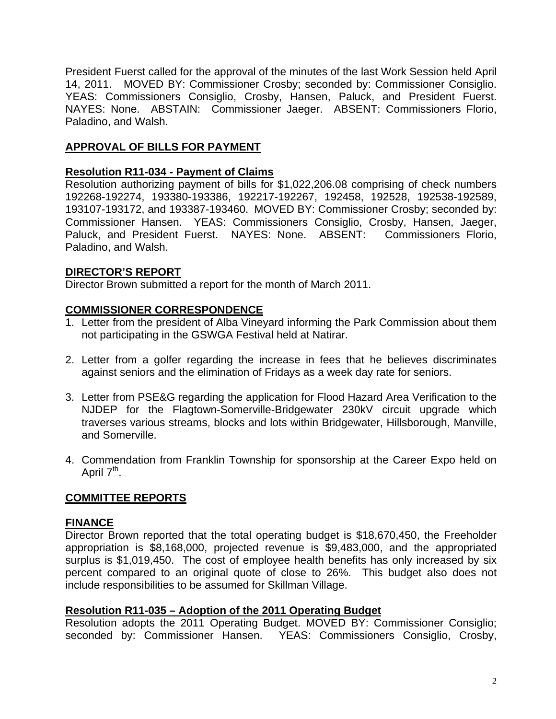President Fuerst called for the approval of the minutes of the last Work Session held April 14, 2011. MOVED BY: Commissioner Crosby; seconded by: Commissioner Consiglio. YEAS: Commissioners Consiglio, Crosby, Hansen, Paluck, and President Fuerst. NAYES: None. ABSTAIN: Commissioner Jaeger. ABSENT: Commissioners Florio, Paladino, and Walsh.

# **APPROVAL OF BILLS FOR PAYMENT**

## **Resolution R11-034 - Payment of Claims**

Resolution authorizing payment of bills for \$1,022,206.08 comprising of check numbers 192268-192274, 193380-193386, 192217-192267, 192458, 192528, 192538-192589, 193107-193172, and 193387-193460. MOVED BY: Commissioner Crosby; seconded by: Commissioner Hansen. YEAS: Commissioners Consiglio, Crosby, Hansen, Jaeger, Paluck, and President Fuerst. NAYES: None. ABSENT: Commissioners Florio, Paladino, and Walsh.

# **DIRECTOR'S REPORT**

Director Brown submitted a report for the month of March 2011.

## **COMMISSIONER CORRESPONDENCE**

- 1. Letter from the president of Alba Vineyard informing the Park Commission about them not participating in the GSWGA Festival held at Natirar.
- 2. Letter from a golfer regarding the increase in fees that he believes discriminates against seniors and the elimination of Fridays as a week day rate for seniors.
- 3. Letter from PSE&G regarding the application for Flood Hazard Area Verification to the NJDEP for the Flagtown-Somerville-Bridgewater 230kV circuit upgrade which traverses various streams, blocks and lots within Bridgewater, Hillsborough, Manville, and Somerville.
- 4. Commendation from Franklin Township for sponsorship at the Career Expo held on April 7<sup>th</sup>.

# **COMMITTEE REPORTS**

## **FINANCE**

Director Brown reported that the total operating budget is \$18,670,450, the Freeholder appropriation is \$8,168,000, projected revenue is \$9,483,000, and the appropriated surplus is \$1,019,450. The cost of employee health benefits has only increased by six percent compared to an original quote of close to 26%. This budget also does not include responsibilities to be assumed for Skillman Village.

## **Resolution R11-035 – Adoption of the 2011 Operating Budget**

Resolution adopts the 2011 Operating Budget. MOVED BY: Commissioner Consiglio; seconded by: Commissioner Hansen. YEAS: Commissioners Consiglio, Crosby,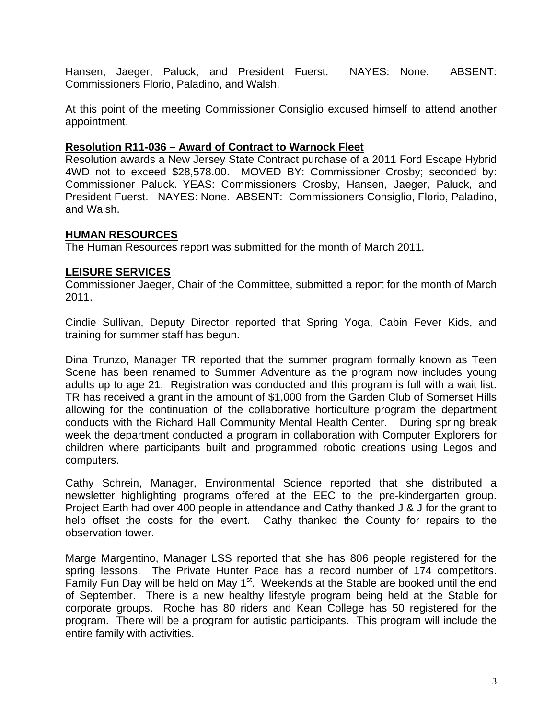Hansen, Jaeger, Paluck, and President Fuerst. NAYES: None. ABSENT: Commissioners Florio, Paladino, and Walsh.

At this point of the meeting Commissioner Consiglio excused himself to attend another appointment.

## **Resolution R11-036 – Award of Contract to Warnock Fleet**

Resolution awards a New Jersey State Contract purchase of a 2011 Ford Escape Hybrid 4WD not to exceed \$28,578.00. MOVED BY: Commissioner Crosby; seconded by: Commissioner Paluck. YEAS: Commissioners Crosby, Hansen, Jaeger, Paluck, and President Fuerst. NAYES: None. ABSENT: Commissioners Consiglio, Florio, Paladino, and Walsh.

## **HUMAN RESOURCES**

The Human Resources report was submitted for the month of March 2011.

# **LEISURE SERVICES**

Commissioner Jaeger, Chair of the Committee, submitted a report for the month of March 2011.

Cindie Sullivan, Deputy Director reported that Spring Yoga, Cabin Fever Kids, and training for summer staff has begun.

Dina Trunzo, Manager TR reported that the summer program formally known as Teen Scene has been renamed to Summer Adventure as the program now includes young adults up to age 21. Registration was conducted and this program is full with a wait list. TR has received a grant in the amount of \$1,000 from the Garden Club of Somerset Hills allowing for the continuation of the collaborative horticulture program the department conducts with the Richard Hall Community Mental Health Center. During spring break week the department conducted a program in collaboration with Computer Explorers for children where participants built and programmed robotic creations using Legos and computers.

Cathy Schrein, Manager, Environmental Science reported that she distributed a newsletter highlighting programs offered at the EEC to the pre-kindergarten group. Project Earth had over 400 people in attendance and Cathy thanked J & J for the grant to help offset the costs for the event. Cathy thanked the County for repairs to the observation tower.

Marge Margentino, Manager LSS reported that she has 806 people registered for the spring lessons. The Private Hunter Pace has a record number of 174 competitors. Family Fun Day will be held on May 1<sup>st</sup>. Weekends at the Stable are booked until the end of September. There is a new healthy lifestyle program being held at the Stable for corporate groups. Roche has 80 riders and Kean College has 50 registered for the program. There will be a program for autistic participants. This program will include the entire family with activities.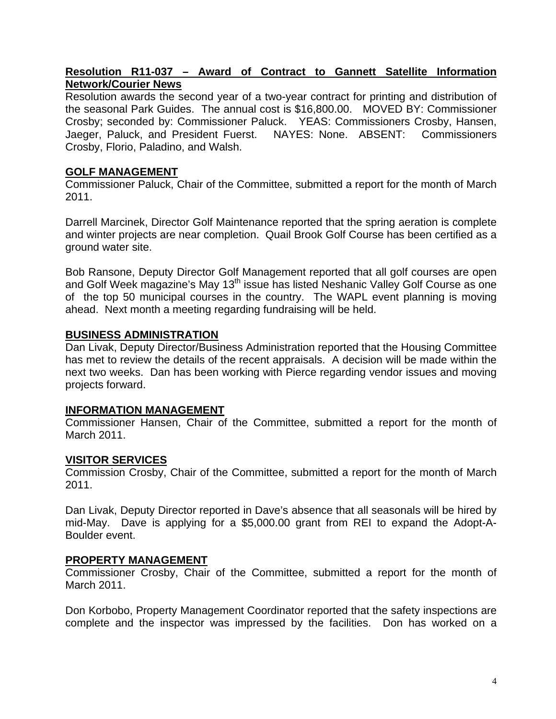## **Resolution R11-037 – Award of Contract to Gannett Satellite Information Network/Courier News**

Resolution awards the second year of a two-year contract for printing and distribution of the seasonal Park Guides. The annual cost is \$16,800.00. MOVED BY: Commissioner Crosby; seconded by: Commissioner Paluck. YEAS: Commissioners Crosby, Hansen, Jaeger, Paluck, and President Fuerst. NAYES: None. ABSENT: Commissioners Crosby, Florio, Paladino, and Walsh.

## **GOLF MANAGEMENT**

Commissioner Paluck, Chair of the Committee, submitted a report for the month of March 2011.

Darrell Marcinek, Director Golf Maintenance reported that the spring aeration is complete and winter projects are near completion. Quail Brook Golf Course has been certified as a ground water site.

Bob Ransone, Deputy Director Golf Management reported that all golf courses are open and Golf Week magazine's May 13<sup>th</sup> issue has listed Neshanic Valley Golf Course as one of the top 50 municipal courses in the country. The WAPL event planning is moving ahead. Next month a meeting regarding fundraising will be held.

## **BUSINESS ADMINISTRATION**

Dan Livak, Deputy Director/Business Administration reported that the Housing Committee has met to review the details of the recent appraisals. A decision will be made within the next two weeks. Dan has been working with Pierce regarding vendor issues and moving projects forward.

## **INFORMATION MANAGEMENT**

Commissioner Hansen, Chair of the Committee, submitted a report for the month of March 2011.

# **VISITOR SERVICES**

Commission Crosby, Chair of the Committee, submitted a report for the month of March 2011.

Dan Livak, Deputy Director reported in Dave's absence that all seasonals will be hired by mid-May. Dave is applying for a \$5,000.00 grant from REI to expand the Adopt-A-Boulder event.

## **PROPERTY MANAGEMENT**

Commissioner Crosby, Chair of the Committee, submitted a report for the month of March 2011.

Don Korbobo, Property Management Coordinator reported that the safety inspections are complete and the inspector was impressed by the facilities. Don has worked on a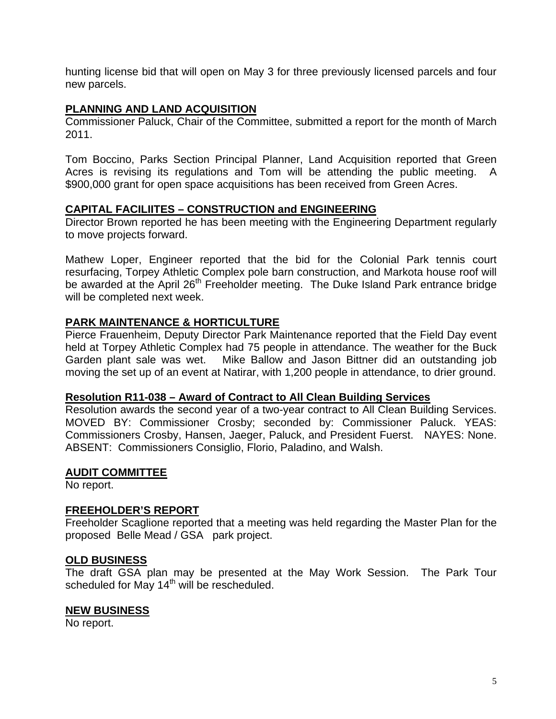hunting license bid that will open on May 3 for three previously licensed parcels and four new parcels.

## **PLANNING AND LAND ACQUISITION**

Commissioner Paluck, Chair of the Committee, submitted a report for the month of March 2011.

Tom Boccino, Parks Section Principal Planner, Land Acquisition reported that Green Acres is revising its regulations and Tom will be attending the public meeting. A \$900,000 grant for open space acquisitions has been received from Green Acres.

### **CAPITAL FACILIITES – CONSTRUCTION and ENGINEERING**

Director Brown reported he has been meeting with the Engineering Department regularly to move projects forward.

Mathew Loper, Engineer reported that the bid for the Colonial Park tennis court resurfacing, Torpey Athletic Complex pole barn construction, and Markota house roof will be awarded at the April 26<sup>th</sup> Freeholder meeting. The Duke Island Park entrance bridge will be completed next week.

### **PARK MAINTENANCE & HORTICULTURE**

Pierce Frauenheim, Deputy Director Park Maintenance reported that the Field Day event held at Torpey Athletic Complex had 75 people in attendance. The weather for the Buck Garden plant sale was wet. Mike Ballow and Jason Bittner did an outstanding job moving the set up of an event at Natirar, with 1,200 people in attendance, to drier ground.

#### **Resolution R11-038 – Award of Contract to All Clean Building Services**

Resolution awards the second year of a two-year contract to All Clean Building Services. MOVED BY: Commissioner Crosby; seconded by: Commissioner Paluck. YEAS: Commissioners Crosby, Hansen, Jaeger, Paluck, and President Fuerst. NAYES: None. ABSENT: Commissioners Consiglio, Florio, Paladino, and Walsh.

#### **AUDIT COMMITTEE**

No report.

#### **FREEHOLDER'S REPORT**

Freeholder Scaglione reported that a meeting was held regarding the Master Plan for the proposed Belle Mead / GSA park project.

#### **OLD BUSINESS**

The draft GSA plan may be presented at the May Work Session. The Park Tour scheduled for May 14<sup>th</sup> will be rescheduled.

#### **NEW BUSINESS**

No report.